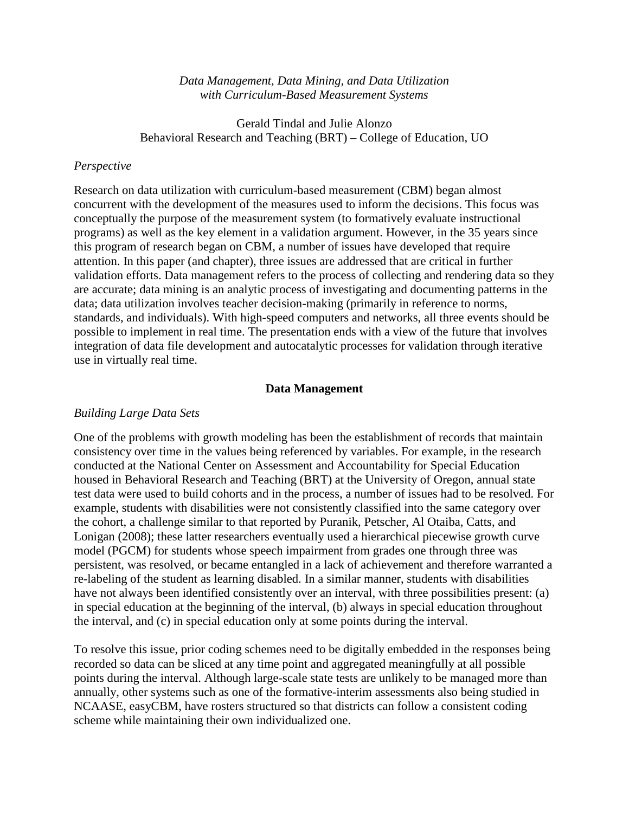#### *Data Management, Data Mining, and Data Utilization with Curriculum-Based Measurement Systems*

Gerald Tindal and Julie Alonzo Behavioral Research and Teaching (BRT) – College of Education, UO

#### *Perspective*

Research on data utilization with curriculum-based measurement (CBM) began almost concurrent with the development of the measures used to inform the decisions. This focus was conceptually the purpose of the measurement system (to formatively evaluate instructional programs) as well as the key element in a validation argument. However, in the 35 years since this program of research began on CBM, a number of issues have developed that require attention. In this paper (and chapter), three issues are addressed that are critical in further validation efforts. Data management refers to the process of collecting and rendering data so they are accurate; data mining is an analytic process of investigating and documenting patterns in the data; data utilization involves teacher decision-making (primarily in reference to norms, standards, and individuals). With high-speed computers and networks, all three events should be possible to implement in real time. The presentation ends with a view of the future that involves integration of data file development and autocatalytic processes for validation through iterative use in virtually real time.

### **Data Management**

### *Building Large Data Sets*

One of the problems with growth modeling has been the establishment of records that maintain consistency over time in the values being referenced by variables. For example, in the research conducted at the National Center on Assessment and Accountability for Special Education housed in Behavioral Research and Teaching (BRT) at the University of Oregon, annual state test data were used to build cohorts and in the process, a number of issues had to be resolved. For example, students with disabilities were not consistently classified into the same category over the cohort, a challenge similar to that reported by [Puranik, Petscher, Al Otaiba, Catts, and](#page-21-0)  [Lonigan \(2008\)](#page-21-0); these latter researchers eventually used a hierarchical piecewise growth curve model (PGCM) for students whose speech impairment from grades one through three was persistent, was resolved, or became entangled in a lack of achievement and therefore warranted a re-labeling of the student as learning disabled. In a similar manner, students with disabilities have not always been identified consistently over an interval, with three possibilities present: (a) in special education at the beginning of the interval, (b) always in special education throughout the interval, and (c) in special education only at some points during the interval.

To resolve this issue, prior coding schemes need to be digitally embedded in the responses being recorded so data can be sliced at any time point and aggregated meaningfully at all possible points during the interval. Although large-scale state tests are unlikely to be managed more than annually, other systems such as one of the formative-interim assessments also being studied in NCAASE, easyCBM, have rosters structured so that districts can follow a consistent coding scheme while maintaining their own individualized one.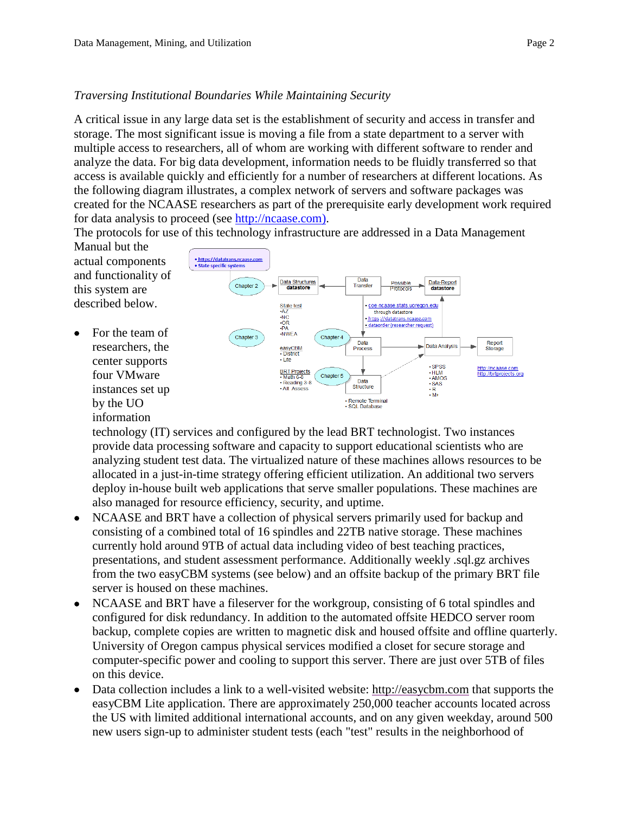# *Traversing Institutional Boundaries While Maintaining Security*

A critical issue in any large data set is the establishment of security and access in transfer and storage. The most significant issue is moving a file from a state department to a server with multiple access to researchers, all of whom are working with different software to render and analyze the data. For big data development, information needs to be fluidly transferred so that access is available quickly and efficiently for a number of researchers at different locations. As the following diagram illustrates, a complex network of servers and software packages was created for the NCAASE researchers as part of the prerequisite early development work required for data analysis to proceed (see [http://ncaase.com\)](http://ncaase.com/).

The protocols for use of this technology infrastructure are addressed in a Data Management Manual but the

actual components and functionality of this system are described below.

For the team of researchers, the center supports four VMware instances set up by the UO information



technology (IT) services and configured by the lead BRT technologist. Two instances provide data processing software and capacity to support educational scientists who are analyzing student test data. The virtualized nature of these machines allows resources to be allocated in a just-in-time strategy offering efficient utilization. An additional two servers deploy in-house built web applications that serve smaller populations. These machines are also managed for resource efficiency, security, and uptime.

- NCAASE and BRT have a collection of physical servers primarily used for backup and consisting of a combined total of 16 spindles and 22TB native storage. These machines currently hold around 9TB of actual data including video of best teaching practices, presentations, and student assessment performance. Additionally weekly .sql.gz archives from the two easyCBM systems (see below) and an offsite backup of the primary BRT file server is housed on these machines.
- NCAASE and BRT have a fileserver for the workgroup, consisting of 6 total spindles and configured for disk redundancy. In addition to the automated offsite HEDCO server room backup, complete copies are written to magnetic disk and housed offsite and offline quarterly. University of Oregon campus physical services modified a closet for secure storage and computer-specific power and cooling to support this server. There are just over 5TB of files on this device.
- Data collection includes a link to a well-visited website: [http://easycbm.com](http://easycbm.com/) that supports the easyCBM Lite application. There are approximately 250,000 teacher accounts located across the US with limited additional international accounts, and on any given weekday, around 500 new users sign-up to administer student tests (each "test" results in the neighborhood of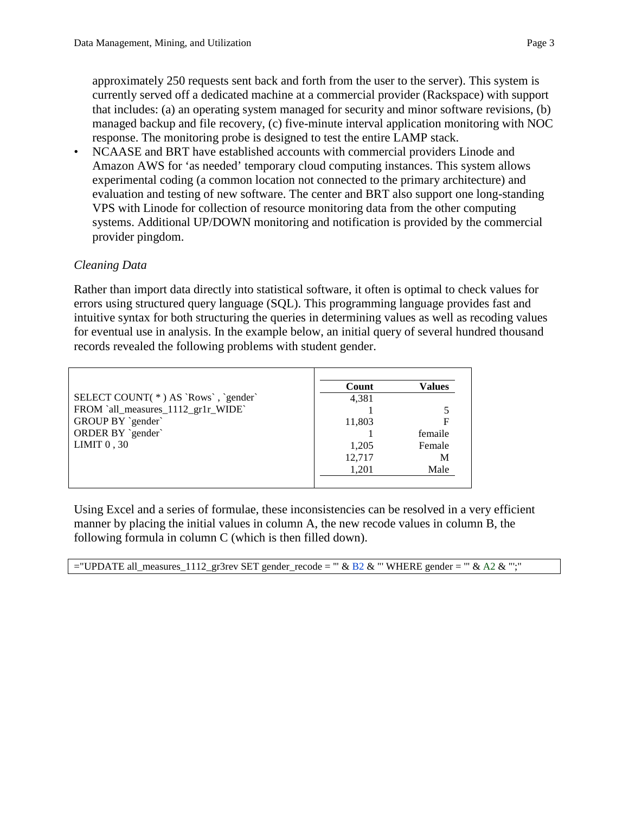approximately 250 requests sent back and forth from the user to the server). This system is currently served off a dedicated machine at a commercial provider (Rackspace) with support that includes: (a) an operating system managed for security and minor software revisions, (b) managed backup and file recovery, (c) five-minute interval application monitoring with NOC response. The monitoring probe is designed to test the entire LAMP stack.

• NCAASE and BRT have established accounts with commercial providers Linode and Amazon AWS for 'as needed' temporary cloud computing instances. This system allows experimental coding (a common location not connected to the primary architecture) and evaluation and testing of new software. The center and BRT also support one long-standing VPS with Linode for collection of resource monitoring data from the other computing systems. Additional UP/DOWN monitoring and notification is provided by the commercial provider pingdom.

# *Cleaning Data*

Rather than import data directly into statistical software, it often is optimal to check values for errors using structured query language (SQL). This programming language provides fast and intuitive syntax for both structuring the queries in determining values as well as recoding values for eventual use in analysis. In the example below, an initial query of several hundred thousand records revealed the following problems with student gender.

|                                     | Count  | Values  |
|-------------------------------------|--------|---------|
| SELECT COUNT(*) AS `Rows`, `gender` | 4,381  |         |
| FROM `all_measures_1112_gr1r_WIDE`  |        |         |
| GROUP BY `gender`                   | 11,803 |         |
| ORDER BY `gender`                   |        | femaile |
| LIMIT $0, 30$                       | 1,205  | Female  |
|                                     | 12,717 | M       |
|                                     | 1,201  | Male    |
|                                     |        |         |

Using Excel and a series of formulae, these inconsistencies can be resolved in a very efficient manner by placing the initial values in column A, the new recode values in column B, the following formula in column C (which is then filled down).

="UPDATE all\_measures\_1112\_gr3rev SET gender\_recode = "" & B2 & "' WHERE gender = "" & A2 & "';"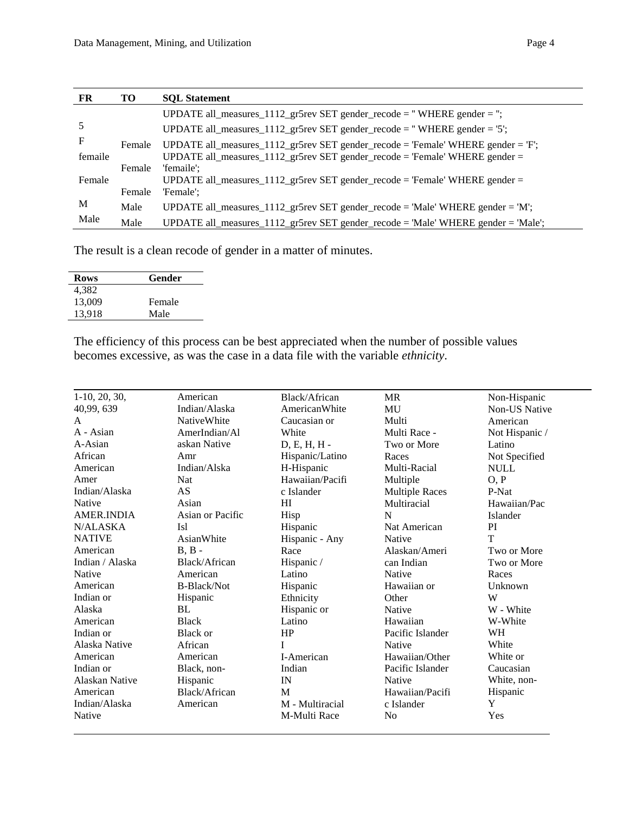| <b>FR</b> | <b>TO</b> | <b>SOL</b> Statement                                                              |
|-----------|-----------|-----------------------------------------------------------------------------------|
|           |           | UPDATE all_measures_1112_gr5rev SET gender_recode = "WHERE gender = ";            |
| 5         |           | UPDATE all_measures_ $1112$ _gr5rev SET gender_recode = "WHERE gender = '5';      |
| F         | Female    | UPDATE all_measures_1112_gr5rev SET gender_recode = 'Female' WHERE gender = 'F';  |
| femaile   |           | UPDATE all_measures_1112_gr5rev SET gender_recode = 'Female' WHERE gender =       |
|           | Female    | 'femaile':                                                                        |
| Female    |           | UPDATE all_measures_1112_gr5rev SET gender_recode = 'Female' WHERE gender =       |
|           | Female    | 'Female':                                                                         |
| M         | Male      | UPDATE all_measures_1112_gr5rev SET gender_recode = 'Male' WHERE gender = 'M';    |
| Male      | Male      | UPDATE all_measures_1112_gr5rev SET gender_recode = 'Male' WHERE gender = 'Male'; |

The result is a clean recode of gender in a matter of minutes.

| <b>Rows</b> | Gender |  |
|-------------|--------|--|
| 4,382       |        |  |
| 13,009      | Female |  |
| 13,918      | Male   |  |

The efficiency of this process can be best appreciated when the number of possible values becomes excessive, as was the case in a data file with the variable *ethnicity*.

| $1-10$ , 20, 30,      | American           | Black/African   | <b>MR</b>             | Non-Hispanic   |
|-----------------------|--------------------|-----------------|-----------------------|----------------|
| 40,99, 639            | Indian/Alaska      | AmericanWhite   | MU                    | Non-US Native  |
| A                     | <b>NativeWhite</b> | Caucasian or    | Multi                 | American       |
| A - Asian             | AmerIndian/Al      | White           | Multi Race -          | Not Hispanic / |
| A-Asian               | askan Native       | D, E, H, H -    | Two or More           | Latino         |
| African               | Amr                | Hispanic/Latino | Races                 | Not Specified  |
| American              | Indian/Alska       | H-Hispanic      | Multi-Racial          | <b>NULL</b>    |
| Amer                  | Nat                | Hawaiian/Pacifi | Multiple              | O, P           |
| Indian/Alaska         | AS                 | c Islander      | <b>Multiple Races</b> | P-Nat          |
| Native                | Asian              | HI              | Multiracial           | Hawaiian/Pac   |
| <b>AMER.INDIA</b>     | Asian or Pacific   | Hisp            | N                     | Islander       |
| N/ALASKA              | Isl                | Hispanic        | Nat American          | PI             |
| <b>NATIVE</b>         | AsianWhite         | Hispanic - Any  | Native                | T              |
| American              | $B, B -$           | Race            | Alaskan/Ameri         | Two or More    |
| Indian / Alaska       | Black/African      | Hispanic /      | can Indian            | Two or More    |
| Native                | American           | Latino          | Native                | Races          |
| American              | B-Black/Not        | Hispanic        | Hawaiian or           | Unknown        |
| Indian or             | Hispanic           | Ethnicity       | Other                 | W              |
| Alaska                | BL                 | Hispanic or     | Native                | W - White      |
| American              | <b>Black</b>       | Latino          | Hawaiian              | W-White        |
| Indian or             | <b>Black or</b>    | HP              | Pacific Islander      | WH             |
| Alaska Native         | African            | T               | Native                | White          |
| American              | American           | I-American      | Hawaiian/Other        | White or       |
| Indian or             | Black, non-        | Indian          | Pacific Islander      | Caucasian      |
| <b>Alaskan Native</b> | Hispanic           | IN              | Native                | White, non-    |
| American              | Black/African      | M               | Hawaiian/Pacifi       | Hispanic       |
| Indian/Alaska         | American           | M - Multiracial | c Islander            | Y              |
| Native                |                    | M-Multi Race    | N <sub>0</sub>        | Yes            |
|                       |                    |                 |                       |                |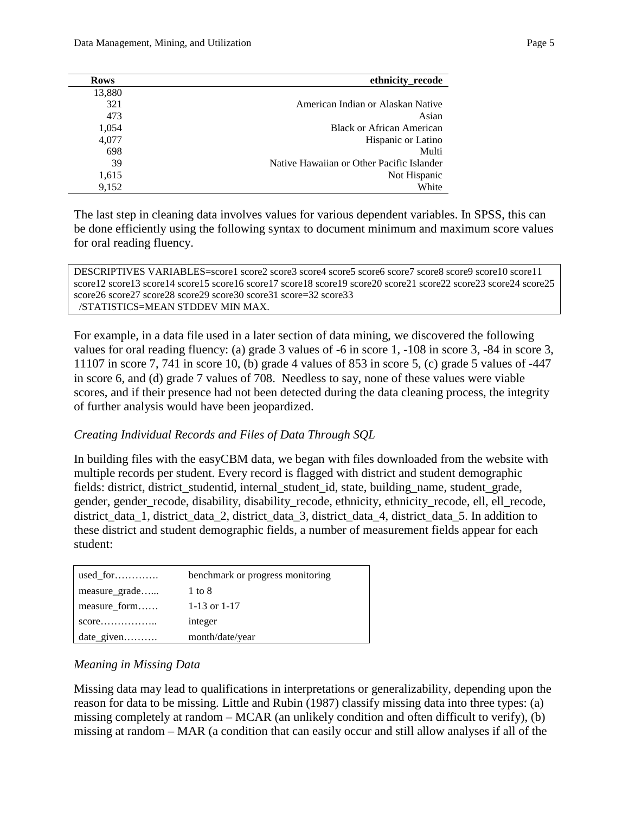| ethnicity_recode                          | <b>Rows</b> |
|-------------------------------------------|-------------|
|                                           | 13,880      |
| American Indian or Alaskan Native         | 321         |
| Asian                                     | 473         |
| <b>Black or African American</b>          | 1,054       |
| Hispanic or Latino                        | 4,077       |
| Multi                                     | 698         |
| Native Hawaiian or Other Pacific Islander | 39          |
| Not Hispanic                              | 1,615       |
| White                                     | 9,152       |

The last step in cleaning data involves values for various dependent variables. In SPSS, this can be done efficiently using the following syntax to document minimum and maximum score values for oral reading fluency.

DESCRIPTIVES VARIABLES=score1 score2 score3 score4 score5 score6 score7 score8 score9 score10 score11 score12 score13 score14 score15 score16 score17 score18 score19 score20 score21 score22 score23 score24 score25 score26 score27 score28 score29 score30 score31 score=32 score33 /STATISTICS=MEAN STDDEV MIN MAX.

For example, in a data file used in a later section of data mining, we discovered the following values for oral reading fluency: (a) grade 3 values of -6 in score 1, -108 in score 3, -84 in score 3, 11107 in score 7, 741 in score 10, (b) grade 4 values of 853 in score 5, (c) grade 5 values of -447 in score 6, and (d) grade 7 values of 708. Needless to say, none of these values were viable scores, and if their presence had not been detected during the data cleaning process, the integrity of further analysis would have been jeopardized.

# *Creating Individual Records and Files of Data Through SQL*

In building files with the easyCBM data, we began with files downloaded from the website with multiple records per student. Every record is flagged with district and student demographic fields: district, district\_studentid, internal\_student\_id, state, building\_name, student\_grade, gender, gender\_recode, disability, disability\_recode, ethnicity, ethnicity\_recode, ell, ell\_recode, district\_data\_1, district\_data\_2, district\_data\_3, district\_data\_4, district\_data\_5. In addition to these district and student demographic fields, a number of measurement fields appear for each student:

| used for                        | benchmark or progress monitoring |
|---------------------------------|----------------------------------|
| measure grade                   | 1 to 8                           |
| measure form                    | 1-13 or $1-17$                   |
| $score \dots \dots \dots \dots$ | integer                          |
| date_given                      | month/date/year                  |

### *Meaning in Missing Data*

Missing data may lead to qualifications in interpretations or generalizability, depending upon the reason for data to be missing. [Little and Rubin \(1987\)](#page-20-0) classify missing data into three types: (a) missing completely at random – MCAR (an unlikely condition and often difficult to verify), (b) missing at random – MAR (a condition that can easily occur and still allow analyses if all of the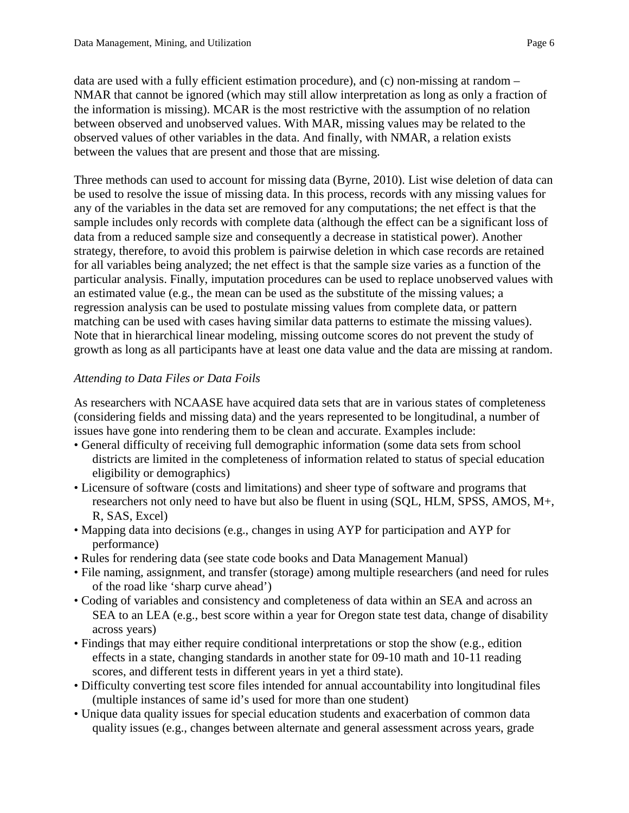data are used with a fully efficient estimation procedure), and (c) non-missing at random – NMAR that cannot be ignored (which may still allow interpretation as long as only a fraction of the information is missing). MCAR is the most restrictive with the assumption of no relation between observed and unobserved values. With MAR, missing values may be related to the observed values of other variables in the data. And finally, with NMAR, a relation exists between the values that are present and those that are missing.

Three methods can used to account for missing data [\(Byrne, 2010\)](#page-20-1). List wise deletion of data can be used to resolve the issue of missing data. In this process, records with any missing values for any of the variables in the data set are removed for any computations; the net effect is that the sample includes only records with complete data (although the effect can be a significant loss of data from a reduced sample size and consequently a decrease in statistical power). Another strategy, therefore, to avoid this problem is pairwise deletion in which case records are retained for all variables being analyzed; the net effect is that the sample size varies as a function of the particular analysis. Finally, imputation procedures can be used to replace unobserved values with an estimated value (e.g., the mean can be used as the substitute of the missing values; a regression analysis can be used to postulate missing values from complete data, or pattern matching can be used with cases having similar data patterns to estimate the missing values). Note that in hierarchical linear modeling, missing outcome scores do not prevent the study of growth as long as all participants have at least one data value and the data are missing at random.

# *Attending to Data Files or Data Foils*

As researchers with NCAASE have acquired data sets that are in various states of completeness (considering fields and missing data) and the years represented to be longitudinal, a number of issues have gone into rendering them to be clean and accurate. Examples include:

- General difficulty of receiving full demographic information (some data sets from school districts are limited in the completeness of information related to status of special education eligibility or demographics)
- Licensure of software (costs and limitations) and sheer type of software and programs that researchers not only need to have but also be fluent in using (SQL, HLM, SPSS, AMOS, M+, R, SAS, Excel)
- Mapping data into decisions (e.g., changes in using AYP for participation and AYP for performance)
- Rules for rendering data (see state code books and Data Management Manual)
- File naming, assignment, and transfer (storage) among multiple researchers (and need for rules of the road like 'sharp curve ahead')
- Coding of variables and consistency and completeness of data within an SEA and across an SEA to an LEA (e.g., best score within a year for Oregon state test data, change of disability across years)
- Findings that may either require conditional interpretations or stop the show (e.g., edition effects in a state, changing standards in another state for 09-10 math and 10-11 reading scores, and different tests in different years in yet a third state).
- Difficulty converting test score files intended for annual accountability into longitudinal files (multiple instances of same id's used for more than one student)
- Unique data quality issues for special education students and exacerbation of common data quality issues (e.g., changes between alternate and general assessment across years, grade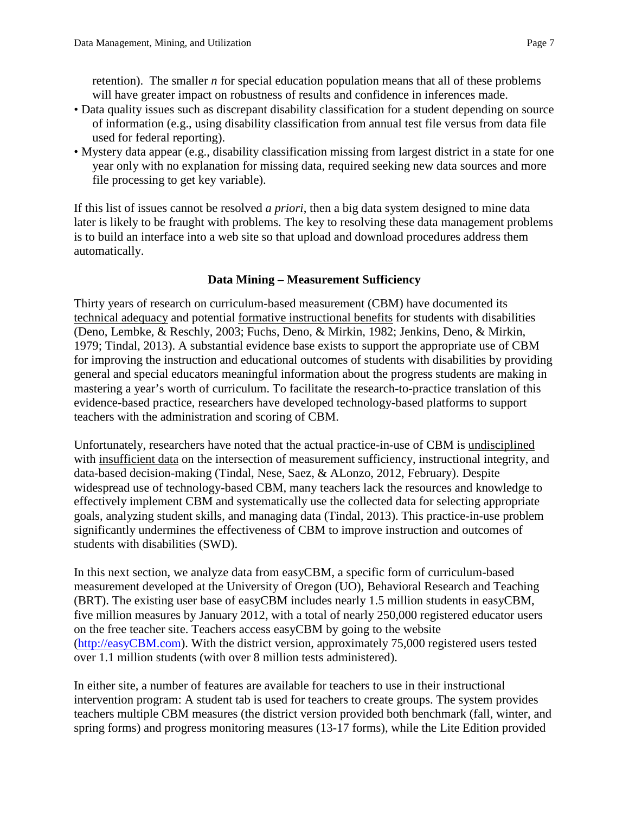retention). The smaller *n* for special education population means that all of these problems will have greater impact on robustness of results and confidence in inferences made.

- Data quality issues such as discrepant disability classification for a student depending on source of information (e.g., using disability classification from annual test file versus from data file used for federal reporting).
- Mystery data appear (e.g., disability classification missing from largest district in a state for one year only with no explanation for missing data, required seeking new data sources and more file processing to get key variable).

If this list of issues cannot be resolved *a priori*, then a big data system designed to mine data later is likely to be fraught with problems. The key to resolving these data management problems is to build an interface into a web site so that upload and download procedures address them automatically.

# **Data Mining – Measurement Sufficiency**

Thirty years of research on curriculum-based measurement (CBM) have documented its technical adequacy and potential formative instructional benefits for students with disabilities [\(Deno, Lembke, & Reschly, 2003;](#page-20-2) [Fuchs, Deno, & Mirkin, 1982;](#page-20-3) [Jenkins, Deno, & Mirkin,](#page-20-4)  [1979;](#page-20-4) [Tindal, 2013\)](#page-21-1). A substantial evidence base exists to support the appropriate use of CBM for improving the instruction and educational outcomes of students with disabilities by providing general and special educators meaningful information about the progress students are making in mastering a year's worth of curriculum. To facilitate the research-to-practice translation of this evidence-based practice, researchers have developed technology-based platforms to support teachers with the administration and scoring of CBM.

Unfortunately, researchers have noted that the actual practice-in-use of CBM is undisciplined with insufficient data on the intersection of measurement sufficiency, instructional integrity, and data-based decision-making [\(Tindal, Nese, Saez, & ALonzo, 2012, February\)](#page-21-2). Despite widespread use of technology-based CBM, many teachers lack the resources and knowledge to effectively implement CBM and systematically use the collected data for selecting appropriate goals, analyzing student skills, and managing data (Tindal, 2013). This practice-in-use problem significantly undermines the effectiveness of CBM to improve instruction and outcomes of students with disabilities (SWD).

In this next section, we analyze data from easyCBM, a specific form of curriculum-based measurement developed at the University of Oregon (UO), Behavioral Research and Teaching (BRT). The existing user base of easyCBM includes nearly 1.5 million students in easyCBM, five million measures by January 2012, with a total of nearly 250,000 registered educator users on the free teacher site. Teachers access easyCBM by going to the website [\(http://easyCBM.com\)](http://easycbm.com/). With the district version, approximately 75,000 registered users tested over 1.1 million students (with over 8 million tests administered).

In either site, a number of features are available for teachers to use in their instructional intervention program: A student tab is used for teachers to create groups. The system provides teachers multiple CBM measures (the district version provided both benchmark (fall, winter, and spring forms) and progress monitoring measures (13-17 forms), while the Lite Edition provided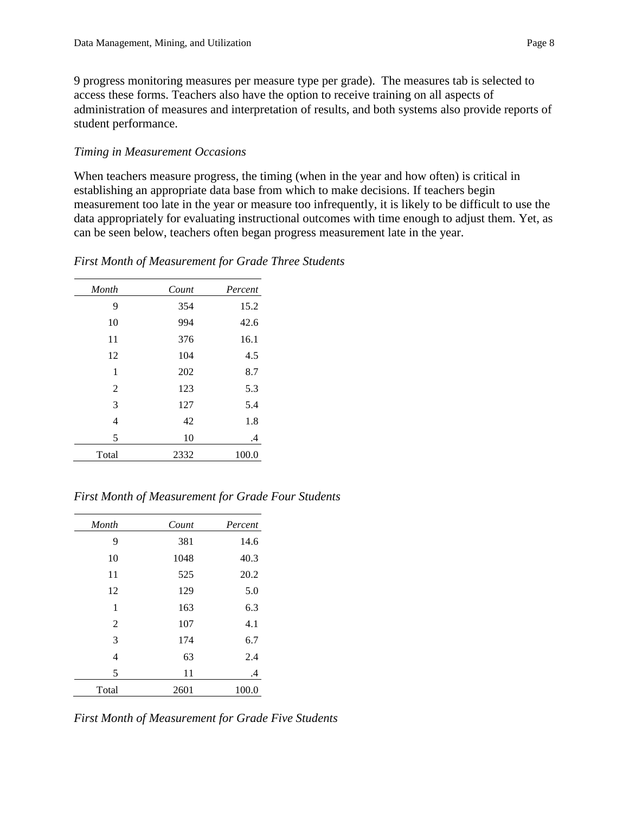9 progress monitoring measures per measure type per grade). The measures tab is selected to access these forms. Teachers also have the option to receive training on all aspects of administration of measures and interpretation of results, and both systems also provide reports of student performance.

### *Timing in Measurement Occasions*

When teachers measure progress, the timing (when in the year and how often) is critical in establishing an appropriate data base from which to make decisions. If teachers begin measurement too late in the year or measure too infrequently, it is likely to be difficult to use the data appropriately for evaluating instructional outcomes with time enough to adjust them. Yet, as can be seen below, teachers often began progress measurement late in the year.

### *First Month of Measurement for Grade Three Students*

| Month          | Count | Percent |
|----------------|-------|---------|
| 9              | 354   | 15.2    |
| 10             | 994   | 42.6    |
| 11             | 376   | 16.1    |
| 12             | 104   | 4.5     |
| 1              | 202   | 8.7     |
| $\overline{2}$ | 123   | 5.3     |
| 3              | 127   | 5.4     |
| 4              | 42    | 1.8     |
| 5              | 10    | .4      |
| Total          | 2332  | 100.0   |

*First Month of Measurement for Grade Four Students*

| Month          | Count | Percent |
|----------------|-------|---------|
| 9              | 381   | 14.6    |
| 10             | 1048  | 40.3    |
| 11             | 525   | 20.2    |
| 12             | 129   | 5.0     |
| 1              | 163   | 6.3     |
| $\overline{2}$ | 107   | 4.1     |
| 3              | 174   | 6.7     |
| 4              | 63    | 2.4     |
| 5              | 11    | .4      |
| Total          | 2601  | 100.0   |

*First Month of Measurement for Grade Five Students*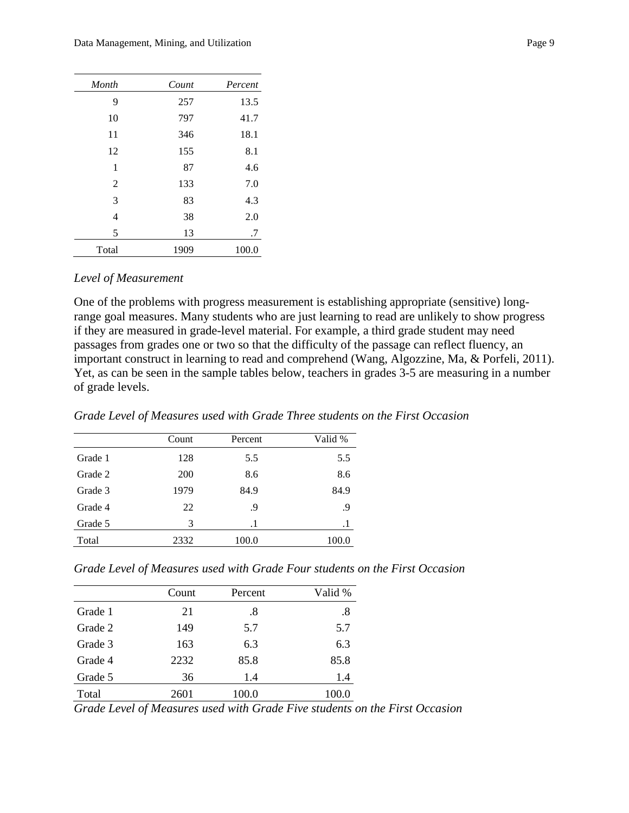| Month          | Count | Percent |
|----------------|-------|---------|
| 9              | 257   | 13.5    |
| 10             | 797   | 41.7    |
| 11             | 346   | 18.1    |
| 12             | 155   | 8.1     |
| 1              | 87    | 4.6     |
| $\overline{2}$ | 133   | 7.0     |
| 3              | 83    | 4.3     |
| 4              | 38    | 2.0     |
| 5              | 13    | .7      |
| Total          | 1909  | 100.0   |

#### *Level of Measurement*

One of the problems with progress measurement is establishing appropriate (sensitive) longrange goal measures. Many students who are just learning to read are unlikely to show progress if they are measured in grade-level material. For example, a third grade student may need passages from grades one or two so that the difficulty of the passage can reflect fluency, an important construct in learning to read and comprehend [\(Wang, Algozzine, Ma, & Porfeli, 2011\)](#page-21-3). Yet, as can be seen in the sample tables below, teachers in grades 3-5 are measuring in a number of grade levels.

*Grade Level of Measures used with Grade Three students on the First Occasion*

|         | Count      | Percent   | Valid % |
|---------|------------|-----------|---------|
| Grade 1 | 128        | 5.5       | 5.5     |
| Grade 2 | <b>200</b> | 8.6       | 8.6     |
| Grade 3 | 1979       | 84.9      | 84.9    |
| Grade 4 | 22         | .9        | .9      |
| Grade 5 | 3          | $\cdot$ 1 | $\cdot$ |
| Total   | 2332       | 100.0     | 100.0   |

*Grade Level of Measures used with Grade Four students on the First Occasion*

|         | Count | Percent | Valid % |
|---------|-------|---------|---------|
| Grade 1 | 21    | .8      | .8      |
| Grade 2 | 149   | 5.7     | 5.7     |
| Grade 3 | 163   | 6.3     | 6.3     |
| Grade 4 | 2232  | 85.8    | 85.8    |
| Grade 5 | 36    | 1.4     | 1.4     |
| Total   | 2601  | 100.0   | 100.0   |

*Grade Level of Measures used with Grade Five students on the First Occasion*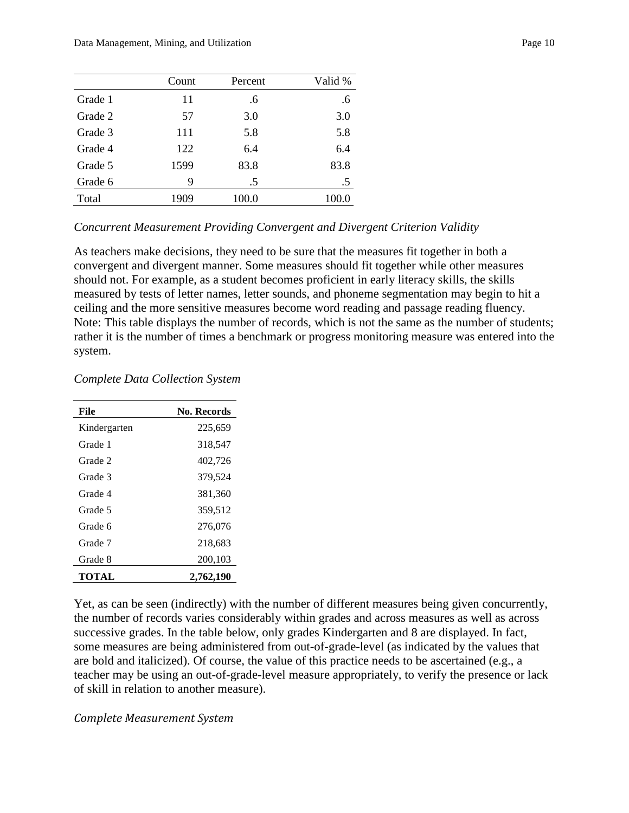|         | Count | Percent | Valid % |
|---------|-------|---------|---------|
| Grade 1 | 11    | .6      | .6      |
| Grade 2 | 57    | 3.0     | 3.0     |
| Grade 3 | 111   | 5.8     | 5.8     |
| Grade 4 | 122   | 6.4     | 6.4     |
| Grade 5 | 1599  | 83.8    | 83.8    |
| Grade 6 | 9     | .5      | $.5\,$  |
| Total   | 1909  | 100.0   | 100.0   |

### *Concurrent Measurement Providing Convergent and Divergent Criterion Validity*

As teachers make decisions, they need to be sure that the measures fit together in both a convergent and divergent manner. Some measures should fit together while other measures should not. For example, as a student becomes proficient in early literacy skills, the skills measured by tests of letter names, letter sounds, and phoneme segmentation may begin to hit a ceiling and the more sensitive measures become word reading and passage reading fluency. Note: This table displays the number of records, which is not the same as the number of students; rather it is the number of times a benchmark or progress monitoring measure was entered into the system.

### *Complete Data Collection System*

| File         | No. Records |
|--------------|-------------|
| Kindergarten | 225,659     |
| Grade 1      | 318,547     |
| Grade 2      | 402,726     |
| Grade 3      | 379,524     |
| Grade 4      | 381,360     |
| Grade 5      | 359,512     |
| Grade 6      | 276,076     |
| Grade 7      | 218,683     |
| Grade 8      | 200,103     |
| TOTAL        | 2,762,190   |

Yet, as can be seen (indirectly) with the number of different measures being given concurrently, the number of records varies considerably within grades and across measures as well as across successive grades. In the table below, only grades Kindergarten and 8 are displayed. In fact, some measures are being administered from out-of-grade-level (as indicated by the values that are bold and italicized). Of course, the value of this practice needs to be ascertained (e.g., a teacher may be using an out-of-grade-level measure appropriately, to verify the presence or lack of skill in relation to another measure).

### *Complete Measurement System*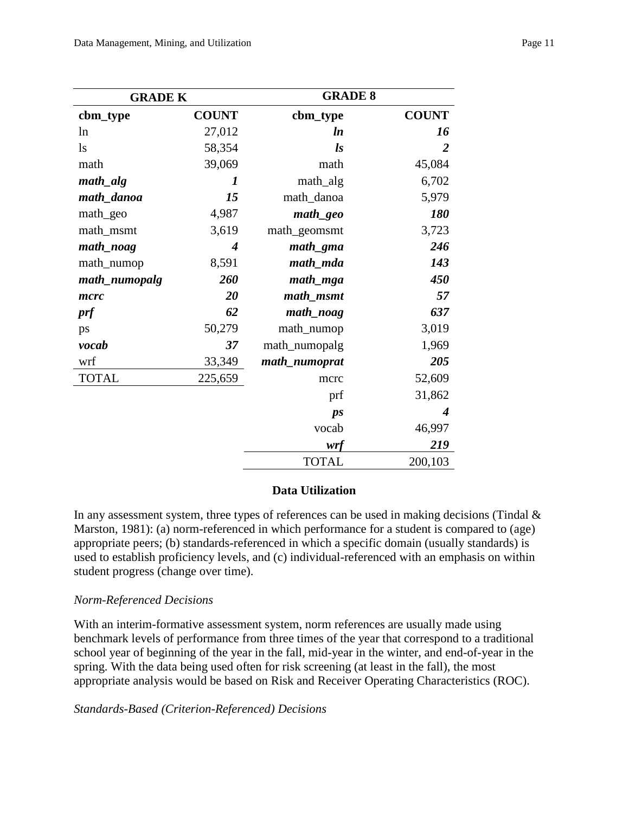| <b>GRADE K</b> |                  | <b>GRADE 8</b>      |                |
|----------------|------------------|---------------------|----------------|
| cbm_type       | <b>COUNT</b>     | cbm_type            | <b>COUNT</b>   |
| ln             | 27,012           | <i>ln</i>           | 16             |
| $\log$         | 58,354           | $\mathbf{I}$ s      | $\overline{2}$ |
| math           | 39,069           | math                | 45,084         |
| $math\_alg$    | 1                | math_alg            | 6,702          |
| math_danoa     | 15               | math_danoa          | 5,979          |
| math_geo       | 4,987            | math_geo            | 180            |
| math_msmt      | 3,619            | math_geomsmt        | 3,723          |
| math_noag      | $\boldsymbol{4}$ | math_gma            | 246            |
| math_numop     | 8,591            | math_mda            | 143            |
| math_numopalg  | 260              | $math_{math_m g a}$ | 450            |
| mcrc           | 20               | math_msmt           | 57             |
| prf            | 62               | math_noag           | 637            |
| ps             | 50,279           | math_numop          | 3,019          |
| vocab          | 37               | math_numopalg       | 1,969          |
| wrf            | 33,349           | math_numoprat       | 205            |
| <b>TOTAL</b>   | 225,659          | mcrc                | 52,609         |
|                |                  | prf                 | 31,862         |
|                |                  | $\mathbf{p}$ s      | 4              |
|                |                  | vocab               | 46,997         |
|                |                  | wrf                 | 219            |
|                |                  | <b>TOTAL</b>        | 200,103        |

# **Data Utilization**

In any assessment system, three types of references can be used in making decisions (Tindal  $\&$ [Marston, 1981\)](#page-21-4): (a) norm-referenced in which performance for a student is compared to (age) appropriate peers; (b) standards-referenced in which a specific domain (usually standards) is used to establish proficiency levels, and (c) individual-referenced with an emphasis on within student progress (change over time).

### *Norm-Referenced Decisions*

With an interim-formative assessment system, norm references are usually made using benchmark levels of performance from three times of the year that correspond to a traditional school year of beginning of the year in the fall, mid-year in the winter, and end-of-year in the spring. With the data being used often for risk screening (at least in the fall), the most appropriate analysis would be based on Risk and Receiver Operating Characteristics (ROC).

*Standards-Based (Criterion-Referenced) Decisions*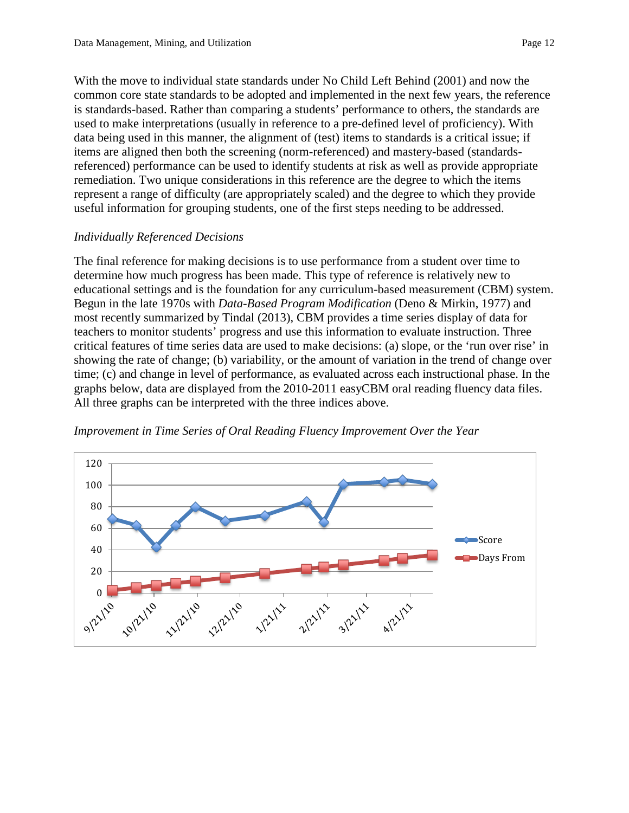With the move to individual state standards under [No Child Left Behind \(2001\)](#page-21-5) and now the common core state standards to be adopted and implemented in the next few years, the reference is standards-based. Rather than comparing a students' performance to others, the standards are used to make interpretations (usually in reference to a pre-defined level of proficiency). With data being used in this manner, the alignment of (test) items to standards is a critical issue; if

items are aligned then both the screening (norm-referenced) and mastery-based (standardsreferenced) performance can be used to identify students at risk as well as provide appropriate remediation. Two unique considerations in this reference are the degree to which the items represent a range of difficulty (are appropriately scaled) and the degree to which they provide useful information for grouping students, one of the first steps needing to be addressed.

# *Individually Referenced Decisions*

The final reference for making decisions is to use performance from a student over time to determine how much progress has been made. This type of reference is relatively new to educational settings and is the foundation for any curriculum-based measurement (CBM) system. Begun in the late 1970s with *Data-Based Program Modification* (Deno & [Mirkin, 1977\)](#page-20-5) and most recently summarized by Tindal (2013), CBM provides a time series display of data for teachers to monitor students' progress and use this information to evaluate instruction. Three critical features of time series data are used to make decisions: (a) slope, or the 'run over rise' in showing the rate of change; (b) variability, or the amount of variation in the trend of change over time; (c) and change in level of performance, as evaluated across each instructional phase. In the graphs below, data are displayed from the 2010-2011 easyCBM oral reading fluency data files. All three graphs can be interpreted with the three indices above.



*Improvement in Time Series of Oral Reading Fluency Improvement Over the Year*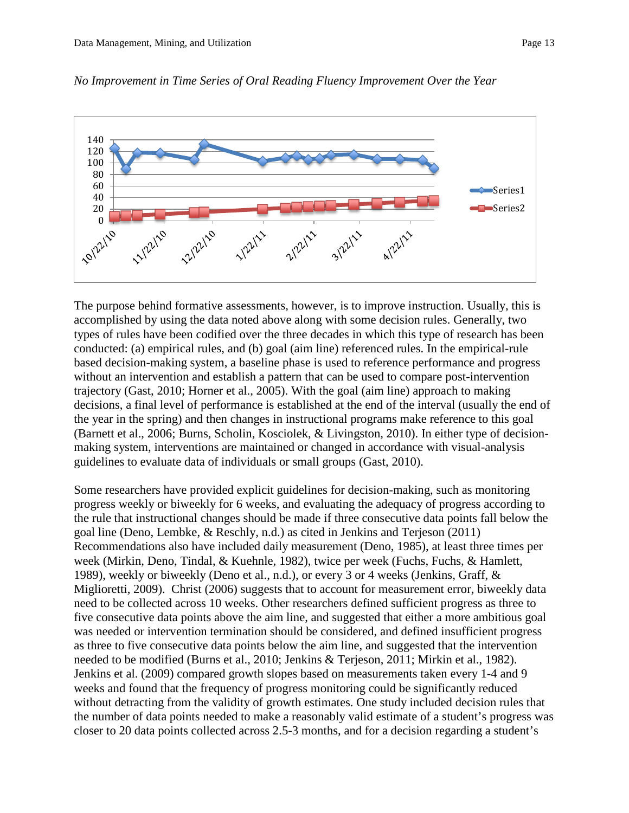

*No Improvement in Time Series of Oral Reading Fluency Improvement Over the Year*

The purpose behind formative assessments, however, is to improve instruction. Usually, this is accomplished by using the data noted above along with some decision rules. Generally, two types of rules have been codified over the three decades in which this type of research has been conducted: (a) empirical rules, and (b) goal (aim line) referenced rules. In the empirical-rule based decision-making system, a baseline phase is used to reference performance and progress without an intervention and establish a pattern that can be used to compare post-intervention trajectory [\(Gast, 2010;](#page-20-6) [Horner et al., 2005\)](#page-20-7). With the goal (aim line) approach to making decisions, a final level of performance is established at the end of the interval (usually the end of the year in the spring) and then changes in instructional programs make reference to this goal [\(Barnett et al., 2006;](#page-20-8) [Burns, Scholin, Kosciolek, & Livingston, 2010\)](#page-20-9). In either type of decisionmaking system, interventions are maintained or changed in accordance with visual-analysis guidelines to evaluate data of individuals or small groups (Gast, 2010).

Some researchers have provided explicit guidelines for decision-making, such as monitoring progress weekly or biweekly for 6 weeks, and evaluating the adequacy of progress according to the rule that instructional changes should be made if three consecutive data points fall below the goal line [\(Deno, Lembke, & Reschly, n.d.\)](#page-20-10) as cited in [Jenkins and Terjeson \(2011\)](#page-20-11) Recommendations also have included daily measurement [\(Deno, 1985\)](#page-20-12), at least three times per week [\(Mirkin, Deno, Tindal, & Kuehnle, 1982\)](#page-21-6), twice per week [\(Fuchs, Fuchs, & Hamlett,](#page-20-13)  [1989\)](#page-20-13), weekly or biweekly [\(Deno et al., n.d.\)](#page-20-10), or every 3 or 4 weeks [\(Jenkins, Graff, &](#page-20-14)  [Miglioretti, 2009\)](#page-20-14). Christ (2006) suggests that to account for measurement error, biweekly data need to be collected across 10 weeks. Other researchers defined sufficient progress as three to five consecutive data points above the aim line, and suggested that either a more ambitious goal was needed or intervention termination should be considered, and defined insufficient progress as three to five consecutive data points below the aim line, and suggested that the intervention needed to be modified [\(Burns et al., 2010;](#page-20-9) [Jenkins & Terjeson, 2011;](#page-20-11) [Mirkin et al., 1982\)](#page-21-6). [Jenkins et al. \(2009\)](#page-20-14) compared growth slopes based on measurements taken every 1-4 and 9 weeks and found that the frequency of progress monitoring could be significantly reduced without detracting from the validity of growth estimates. One study included decision rules that the number of data points needed to make a reasonably valid estimate of a student's progress was closer to 20 data points collected across 2.5-3 months, and for a decision regarding a student's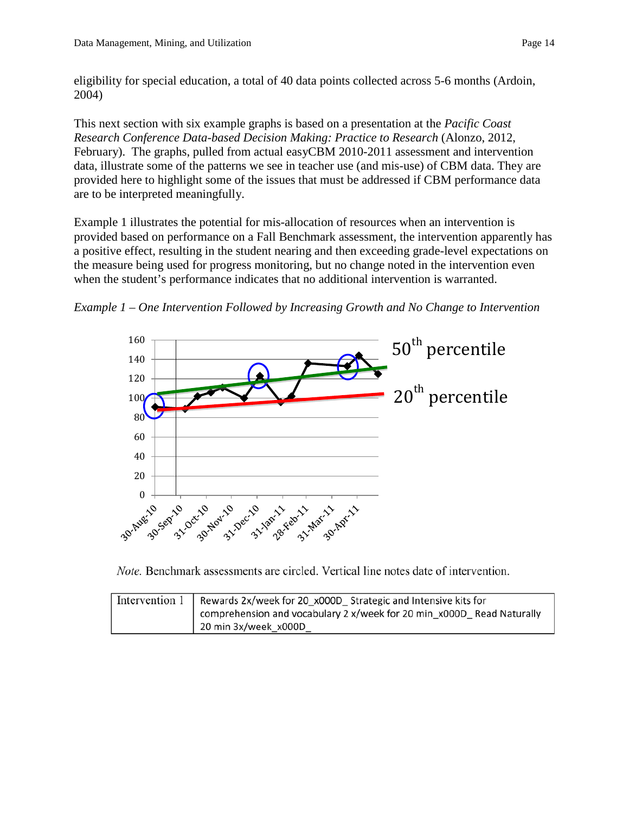eligibility for special education, a total of 40 data points collected across 5-6 months [\(Ardoin,](#page-20-15)  [2004\)](#page-20-15)

This next section with six example graphs is based on a presentation at the *Pacific Coast Research Conference Data-based Decision Making: Practice to Research* [\(Alonzo, 2012,](#page-20-16)  [February\)](#page-20-16). The graphs, pulled from actual easyCBM 2010-2011 assessment and intervention data, illustrate some of the patterns we see in teacher use (and mis-use) of CBM data. They are provided here to highlight some of the issues that must be addressed if CBM performance data are to be interpreted meaningfully.

Example 1 illustrates the potential for mis-allocation of resources when an intervention is provided based on performance on a Fall Benchmark assessment, the intervention apparently has a positive effect, resulting in the student nearing and then exceeding grade-level expectations on the measure being used for progress monitoring, but no change noted in the intervention even when the student's performance indicates that no additional intervention is warranted.

*Example 1 – One Intervention Followed by Increasing Growth and No Change to Intervention*



Note. Benchmark assessments are circled. Vertical line notes date of intervention.

| Intervention $1 \mid$ Rewards 2x/week for 20 x000D Strategic and Intensive kits for |  |
|-------------------------------------------------------------------------------------|--|
| comprehension and vocabulary 2 x/week for 20 min x000D Read Naturally               |  |
| 20 min 3x/week x000D                                                                |  |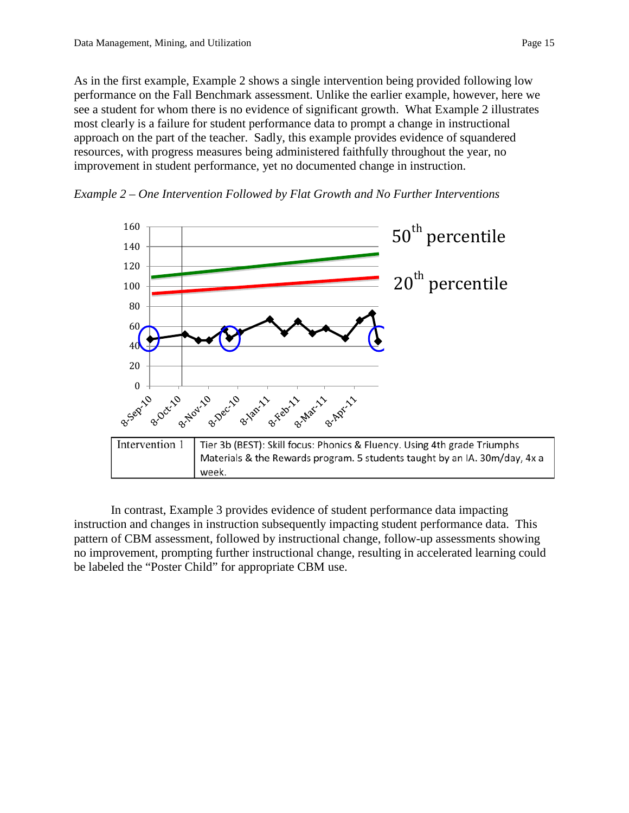As in the first example, Example 2 shows a single intervention being provided following low performance on the Fall Benchmark assessment. Unlike the earlier example, however, here we see a student for whom there is no evidence of significant growth. What Example 2 illustrates most clearly is a failure for student performance data to prompt a change in instructional approach on the part of the teacher. Sadly, this example provides evidence of squandered resources, with progress measures being administered faithfully throughout the year, no improvement in student performance, yet no documented change in instruction.

*Example 2 – One Intervention Followed by Flat Growth and No Further Interventions*



In contrast, Example 3 provides evidence of student performance data impacting instruction and changes in instruction subsequently impacting student performance data. This pattern of CBM assessment, followed by instructional change, follow-up assessments showing no improvement, prompting further instructional change, resulting in accelerated learning could be labeled the "Poster Child" for appropriate CBM use.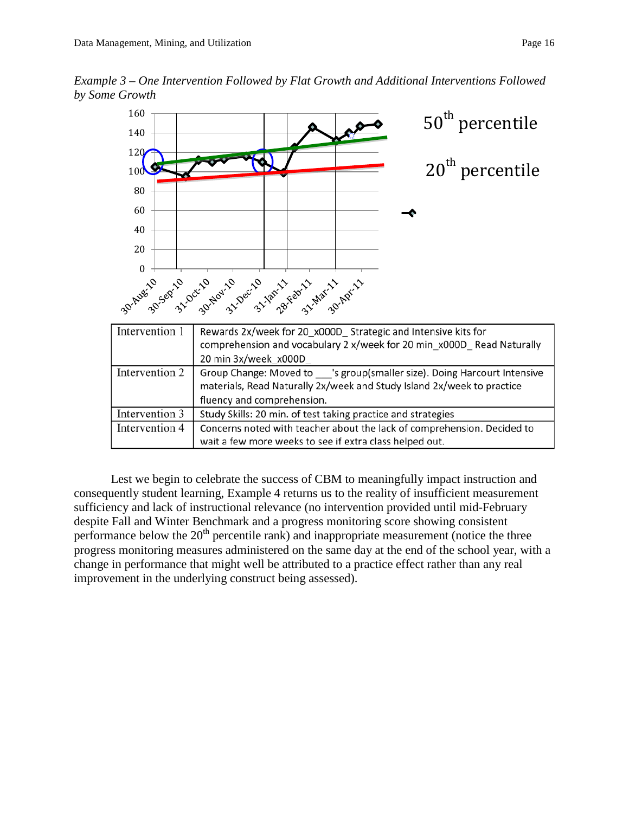*Example 3 – One Intervention Followed by Flat Growth and Additional Interventions Followed by Some Growth*



Lest we begin to celebrate the success of CBM to meaningfully impact instruction and consequently student learning, Example 4 returns us to the reality of insufficient measurement sufficiency and lack of instructional relevance (no intervention provided until mid-February despite Fall and Winter Benchmark and a progress monitoring score showing consistent performance below the  $20<sup>th</sup>$  percentile rank) and inappropriate measurement (notice the three progress monitoring measures administered on the same day at the end of the school year, with a change in performance that might well be attributed to a practice effect rather than any real improvement in the underlying construct being assessed).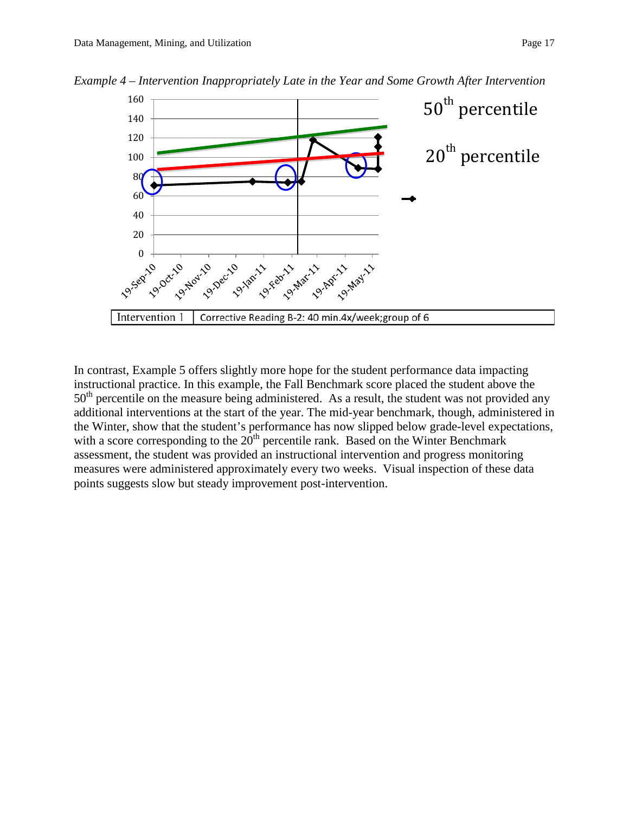

*Example 4 – Intervention Inappropriately Late in the Year and Some Growth After Intervention*

In contrast, Example 5 offers slightly more hope for the student performance data impacting instructional practice. In this example, the Fall Benchmark score placed the student above the 50<sup>th</sup> percentile on the measure being administered. As a result, the student was not provided any additional interventions at the start of the year. The mid-year benchmark, though, administered in the Winter, show that the student's performance has now slipped below grade-level expectations, with a score corresponding to the  $20<sup>th</sup>$  percentile rank. Based on the Winter Benchmark assessment, the student was provided an instructional intervention and progress monitoring measures were administered approximately every two weeks. Visual inspection of these data points suggests slow but steady improvement post-intervention.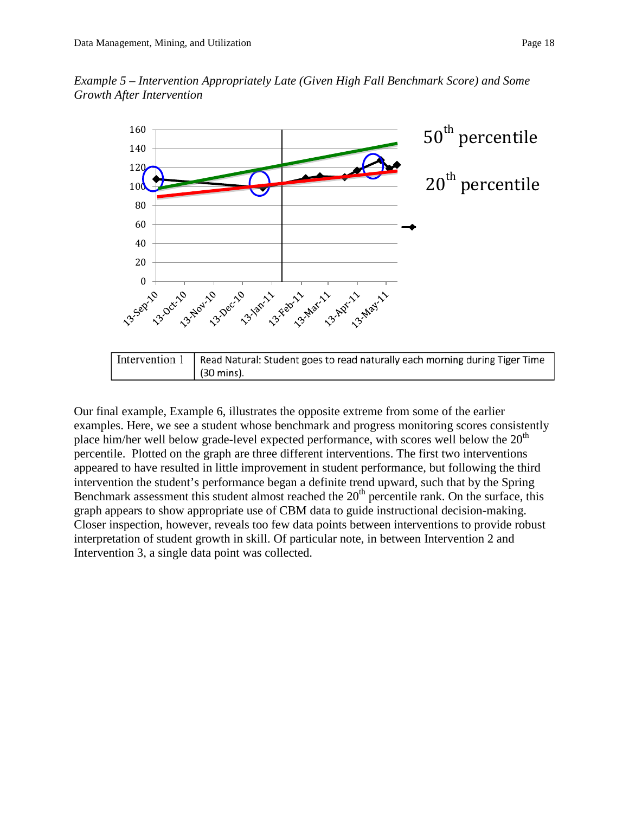



Our final example, Example 6, illustrates the opposite extreme from some of the earlier examples. Here, we see a student whose benchmark and progress monitoring scores consistently place him/her well below grade-level expected performance, with scores well below the  $20<sup>th</sup>$ percentile. Plotted on the graph are three different interventions. The first two interventions appeared to have resulted in little improvement in student performance, but following the third intervention the student's performance began a definite trend upward, such that by the Spring Benchmark assessment this student almost reached the  $20<sup>th</sup>$  percentile rank. On the surface, this graph appears to show appropriate use of CBM data to guide instructional decision-making. Closer inspection, however, reveals too few data points between interventions to provide robust interpretation of student growth in skill. Of particular note, in between Intervention 2 and Intervention 3, a single data point was collected.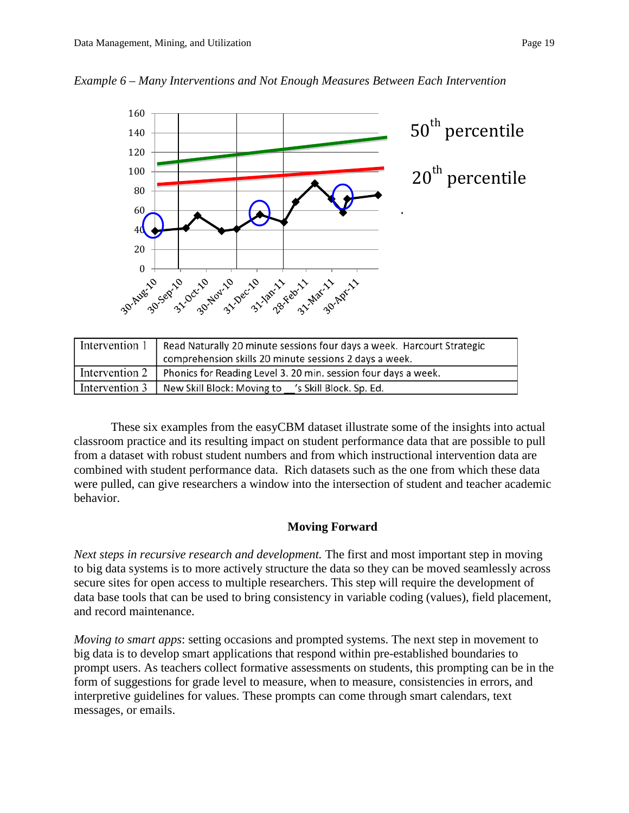



| Intervention 1   Read Naturally 20 minute sessions four days a week. Harcourt Strategic |  |
|-----------------------------------------------------------------------------------------|--|
| comprehension skills 20 minute sessions 2 days a week.                                  |  |
| Intervention 2   Phonics for Reading Level 3. 20 min. session four days a week.         |  |
| Intervention 3   New Skill Block: Moving to 's Skill Block. Sp. Ed.                     |  |

These six examples from the easyCBM dataset illustrate some of the insights into actual classroom practice and its resulting impact on student performance data that are possible to pull from a dataset with robust student numbers and from which instructional intervention data are combined with student performance data. Rich datasets such as the one from which these data were pulled, can give researchers a window into the intersection of student and teacher academic behavior.

### **Moving Forward**

*Next steps in recursive research and development.* The first and most important step in moving to big data systems is to more actively structure the data so they can be moved seamlessly across secure sites for open access to multiple researchers. This step will require the development of data base tools that can be used to bring consistency in variable coding (values), field placement, and record maintenance.

*Moving to smart apps*: setting occasions and prompted systems. The next step in movement to big data is to develop smart applications that respond within pre-established boundaries to prompt users. As teachers collect formative assessments on students, this prompting can be in the form of suggestions for grade level to measure, when to measure, consistencies in errors, and interpretive guidelines for values. These prompts can come through smart calendars, text messages, or emails.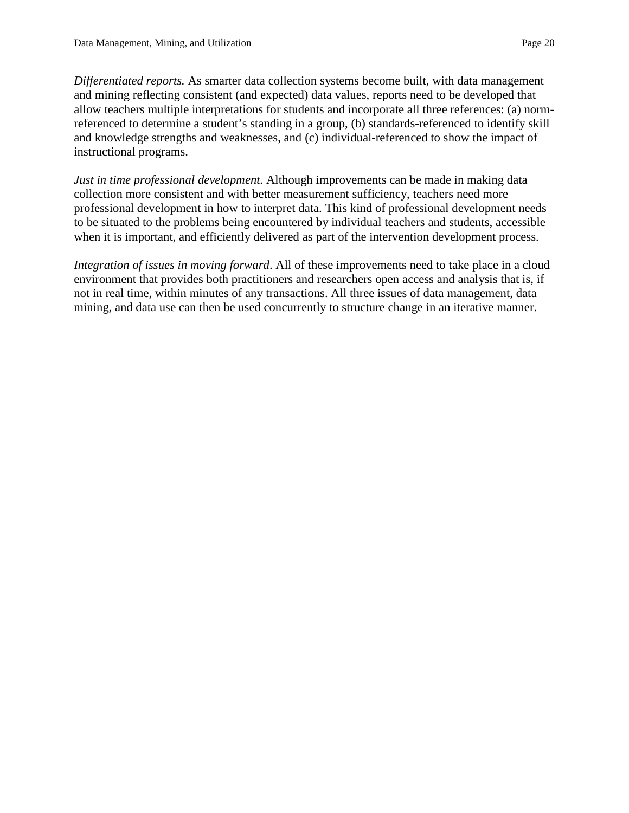*Differentiated reports.* As smarter data collection systems become built, with data management and mining reflecting consistent (and expected) data values, reports need to be developed that allow teachers multiple interpretations for students and incorporate all three references: (a) normreferenced to determine a student's standing in a group, (b) standards-referenced to identify skill and knowledge strengths and weaknesses, and (c) individual-referenced to show the impact of instructional programs.

*Just in time professional development.* Although improvements can be made in making data collection more consistent and with better measurement sufficiency, teachers need more professional development in how to interpret data. This kind of professional development needs to be situated to the problems being encountered by individual teachers and students, accessible when it is important, and efficiently delivered as part of the intervention development process.

*Integration of issues in moving forward*. All of these improvements need to take place in a cloud environment that provides both practitioners and researchers open access and analysis that is, if not in real time, within minutes of any transactions. All three issues of data management, data mining, and data use can then be used concurrently to structure change in an iterative manner.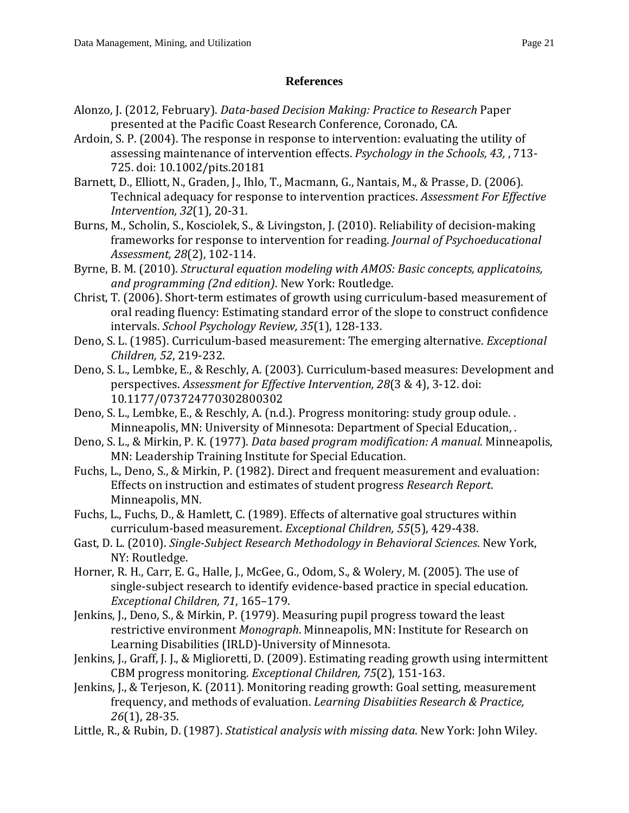# **References**

- <span id="page-20-16"></span>Alonzo, J. (2012, February). *Data-based Decision Making: Practice to Research* Paper presented at the Pacific Coast Research Conference, Coronado, CA.
- <span id="page-20-15"></span>Ardoin, S. P. (2004). The response in response to intervention: evaluating the utility of assessing maintenance of intervention effects. *Psychology in the Schools, 43,* , 713- 725. doi: 10.1002/pits.20181
- <span id="page-20-8"></span>Barnett, D., Elliott, N., Graden, J., Ihlo, T., Macmann, G., Nantais, M., & Prasse, D. (2006). Technical adequacy for response to intervention practices. *Assessment For Effective Intervention, 32*(1), 20-31.
- <span id="page-20-9"></span>Burns, M., Scholin, S., Kosciolek, S., & Livingston, J. (2010). Reliability of decision-making frameworks for response to intervention for reading. *Journal of Psychoeducational Assessment, 28*(2), 102-114.
- <span id="page-20-1"></span>Byrne, B. M. (2010). *Structural equation modeling with AMOS: Basic concepts, applicatoins, and programming (2nd edition)*. New York: Routledge.
- Christ, T. (2006). Short-term estimates of growth using curriculum-based measurement of oral reading fluency: Estimating standard error of the slope to construct confidence intervals. *School Psychology Review, 35*(1), 128-133.
- <span id="page-20-12"></span>Deno, S. L. (1985). Curriculum-based measurement: The emerging alternative. *Exceptional Children, 52*, 219-232.
- <span id="page-20-2"></span>Deno, S. L., Lembke, E., & Reschly, A. (2003). Curriculum-based measures: Development and perspectives. *Assessment for Effective Intervention, 28*(3 & 4), 3-12. doi: 10.1177/073724770302800302
- <span id="page-20-10"></span>Deno, S. L., Lembke, E., & Reschly, A. (n.d.). Progress monitoring: study group odule. . Minneapolis, MN: University of Minnesota: Department of Special Education, .
- <span id="page-20-5"></span>Deno, S. L., & Mirkin, P. K. (1977). *Data based program modification: A manual*. Minneapolis, MN: Leadership Training Institute for Special Education.
- <span id="page-20-3"></span>Fuchs, L., Deno, S., & Mirkin, P. (1982). Direct and frequent measurement and evaluation: Effects on instruction and estimates of student progress *Research Report*. Minneapolis, MN.
- <span id="page-20-13"></span>Fuchs, L., Fuchs, D., & Hamlett, C. (1989). Effects of alternative goal structures within curriculum-based measurement. *Exceptional Children, 55*(5), 429-438.
- <span id="page-20-6"></span>Gast, D. L. (2010). *Single-Subject Research Methodology in Behavioral Sciences*. New York, NY: Routledge.
- <span id="page-20-7"></span>Horner, R. H., Carr, E. G., Halle, J., McGee, G., Odom, S., & Wolery, M. (2005). The use of single-subject research to identify evidence-based practice in special education. *Exceptional Children, 71*, 165–179.
- <span id="page-20-4"></span>Jenkins, J., Deno, S., & Mirkin, P. (1979). Measuring pupil progress toward the least restrictive environment *Monograph*. Minneapolis, MN: Institute for Research on Learning Disabilities (IRLD)-University of Minnesota.
- <span id="page-20-14"></span>Jenkins, J., Graff, J. J., & Miglioretti, D. (2009). Estimating reading growth using intermittent CBM progress monitoring. *Exceptional Children, 75*(2), 151-163.
- <span id="page-20-11"></span>Jenkins, J., & Terjeson, K. (2011). Monitoring reading growth: Goal setting, measurement frequency, and methods of evaluation. *Learning Disabiities Research & Practice, 26*(1), 28-35.
- <span id="page-20-0"></span>Little, R., & Rubin, D. (1987). *Statistical analysis with missing data*. New York: John Wiley.